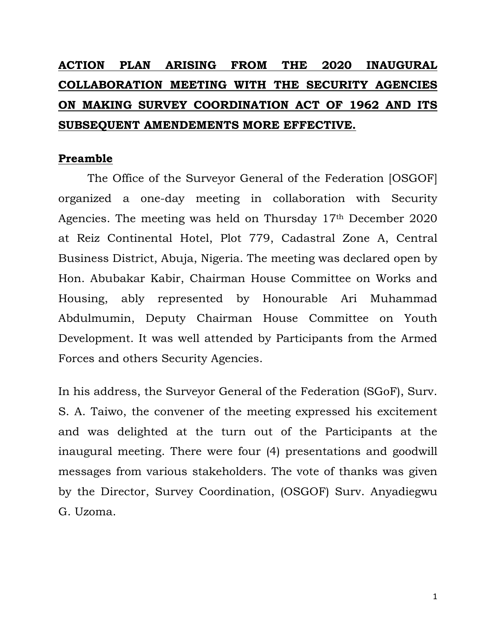# **ACTION PLAN ARISING FROM THE 2020 INAUGURAL COLLABORATION MEETING WITH THE SECURITY AGENCIES ON MAKING SURVEY COORDINATION ACT OF 1962 AND ITS SUBSEQUENT AMENDEMENTS MORE EFFECTIVE.**

## **Preamble**

The Office of the Surveyor General of the Federation [OSGOF] organized a one-day meeting in collaboration with Security Agencies. The meeting was held on Thursday 17th December 2020 at Reiz Continental Hotel, Plot 779, Cadastral Zone A, Central Business District, Abuja, Nigeria. The meeting was declared open by Hon. Abubakar Kabir, Chairman House Committee on Works and Housing, ably represented by Honourable Ari Muhammad Abdulmumin, Deputy Chairman House Committee on Youth Development. It was well attended by Participants from the Armed Forces and others Security Agencies.

In his address, the Surveyor General of the Federation (SGoF), Surv. S. A. Taiwo, the convener of the meeting expressed his excitement and was delighted at the turn out of the Participants at the inaugural meeting. There were four (4) presentations and goodwill messages from various stakeholders. The vote of thanks was given by the Director, Survey Coordination, (OSGOF) Surv. Anyadiegwu G. Uzoma.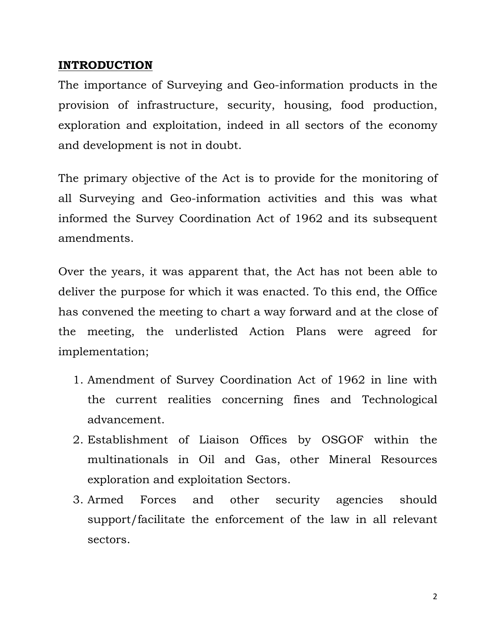## **INTRODUCTION**

The importance of Surveying and Geo-information products in the provision of infrastructure, security, housing, food production, exploration and exploitation, indeed in all sectors of the economy and development is not in doubt.

The primary objective of the Act is to provide for the monitoring of all Surveying and Geo-information activities and this was what informed the Survey Coordination Act of 1962 and its subsequent amendments.

Over the years, it was apparent that, the Act has not been able to deliver the purpose for which it was enacted. To this end, the Office has convened the meeting to chart a way forward and at the close of the meeting, the underlisted Action Plans were agreed for implementation;

- 1. Amendment of Survey Coordination Act of 1962 in line with the current realities concerning fines and Technological advancement.
- 2. Establishment of Liaison Offices by OSGOF within the multinationals in Oil and Gas, other Mineral Resources exploration and exploitation Sectors.
- 3. Armed Forces and other security agencies should support/facilitate the enforcement of the law in all relevant sectors.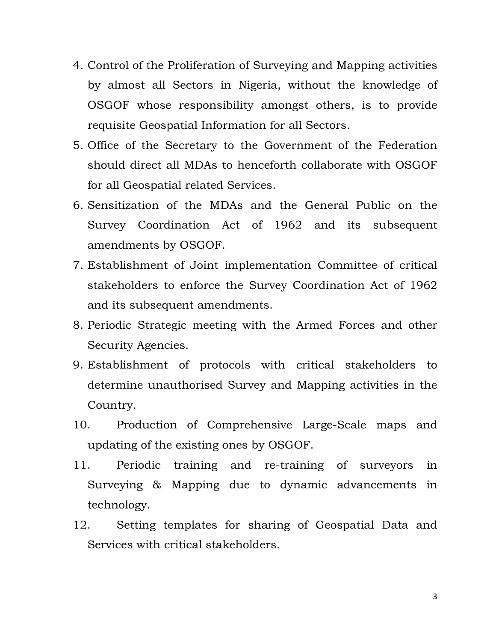- 4. Control of the Proliferation of Surveying and Mapping activities by almost all Sectors in Nigeria, without the knowledge of OSGOF whose responsibility amongst others, is to provide requisite Geospatial Information for all Sectors.
- 5. Office of the Secretary to the Government of the Federation should direct all MDAs to henceforth collaborate with OSGOF for all Geospatial related Services.
- 6. Sensitization of the MDAs and the General Public on the Survey Coordination Act of 1962 and its subsequent amendments by OSGOF.
- 7. Establishment of Joint implementation Committee of critical stakeholders to enforce the Survey Coordination Act of 1962 and its subsequent amendments.
- 8. Periodic Strategic meeting with the Armed Forces and other Security Agencies.
- 9. Establishment of protocols with critical stakeholders to determine unauthorised Survey and Mapping activities in the Country.
- 10. Production of Comprehensive Large-Scale maps and updating of the existing ones by OSGOF.
- 11. Periodic training and re-training of surveyors in Surveying & Mapping due to dynamic advancements in technology.
- 12. Setting templates for sharing of Geospatial Data and Services with critical stakeholders.